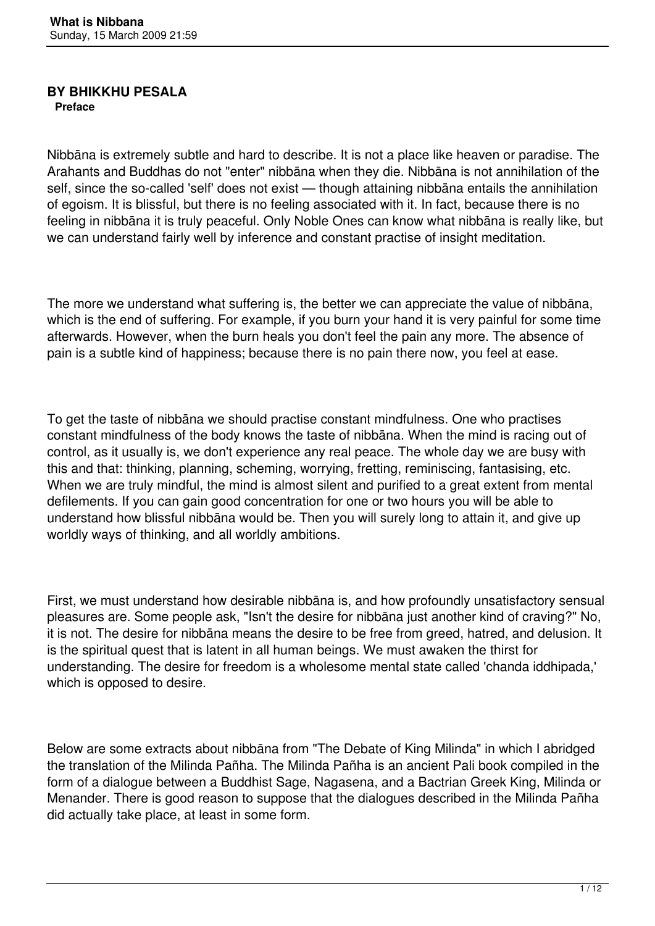#### **BY BHIKKHU PESALA Preface**

Nibbāna is extremely subtle and hard to describe. It is not a place like heaven or paradise. The Arahants and Buddhas do not "enter" nibbāna when they die. Nibbāna is not annihilation of the self, since the so-called 'self' does not exist — though attaining nibbāna entails the annihilation of egoism. It is blissful, but there is no feeling associated with it. In fact, because there is no feeling in nibbāna it is truly peaceful. Only Noble Ones can know what nibbāna is really like, but we can understand fairly well by inference and constant practise of insight meditation.

The more we understand what suffering is, the better we can appreciate the value of nibbāna, which is the end of suffering. For example, if you burn your hand it is very painful for some time afterwards. However, when the burn heals you don't feel the pain any more. The absence of pain is a subtle kind of happiness; because there is no pain there now, you feel at ease.

To get the taste of nibbāna we should practise constant mindfulness. One who practises constant mindfulness of the body knows the taste of nibbāna. When the mind is racing out of control, as it usually is, we don't experience any real peace. The whole day we are busy with this and that: thinking, planning, scheming, worrying, fretting, reminiscing, fantasising, etc. When we are truly mindful, the mind is almost silent and purified to a great extent from mental defilements. If you can gain good concentration for one or two hours you will be able to understand how blissful nibbāna would be. Then you will surely long to attain it, and give up worldly ways of thinking, and all worldly ambitions.

First, we must understand how desirable nibbāna is, and how profoundly unsatisfactory sensual pleasures are. Some people ask, "Isn't the desire for nibbāna just another kind of craving?" No, it is not. The desire for nibbāna means the desire to be free from greed, hatred, and delusion. It is the spiritual quest that is latent in all human beings. We must awaken the thirst for understanding. The desire for freedom is a wholesome mental state called 'chanda iddhipada,' which is opposed to desire.

Below are some extracts about nibbāna from "The Debate of King Milinda" in which I abridged the translation of the Milinda Pañha. The Milinda Pañha is an ancient Pali book compiled in the form of a dialogue between a Buddhist Sage, Nagasena, and a Bactrian Greek King, Milinda or Menander. There is good reason to suppose that the dialogues described in the Milinda Pañha did actually take place, at least in some form.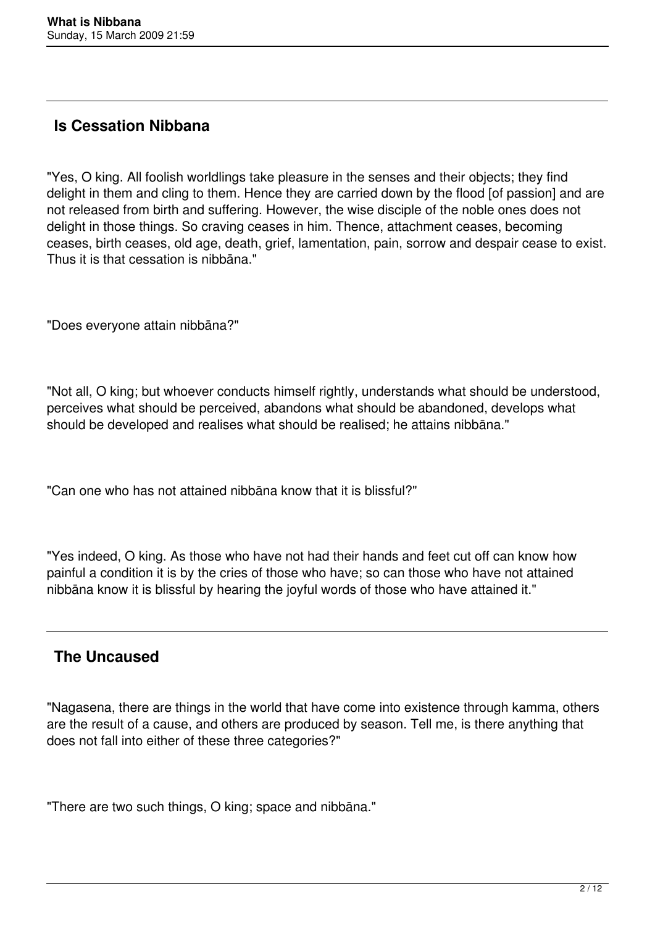# **Is Cessation Nibbana**

"Yes, O king. All foolish worldlings take pleasure in the senses and their objects; they find delight in them and cling to them. Hence they are carried down by the flood [of passion] and are not released from birth and suffering. However, the wise disciple of the noble ones does not delight in those things. So craving ceases in him. Thence, attachment ceases, becoming ceases, birth ceases, old age, death, grief, lamentation, pain, sorrow and despair cease to exist. Thus it is that cessation is nibbāna."

"Does everyone attain nibbāna?"

"Not all, O king; but whoever conducts himself rightly, understands what should be understood, perceives what should be perceived, abandons what should be abandoned, develops what should be developed and realises what should be realised; he attains nibbāna."

"Can one who has not attained nibbāna know that it is blissful?"

"Yes indeed, O king. As those who have not had their hands and feet cut off can know how painful a condition it is by the cries of those who have; so can those who have not attained nibbāna know it is blissful by hearing the joyful words of those who have attained it."

## **The Uncaused**

"Nagasena, there are things in the world that have come into existence through kamma, others are the result of a cause, and others are produced by season. Tell me, is there anything that does not fall into either of these three categories?"

"There are two such things, O king; space and nibbāna."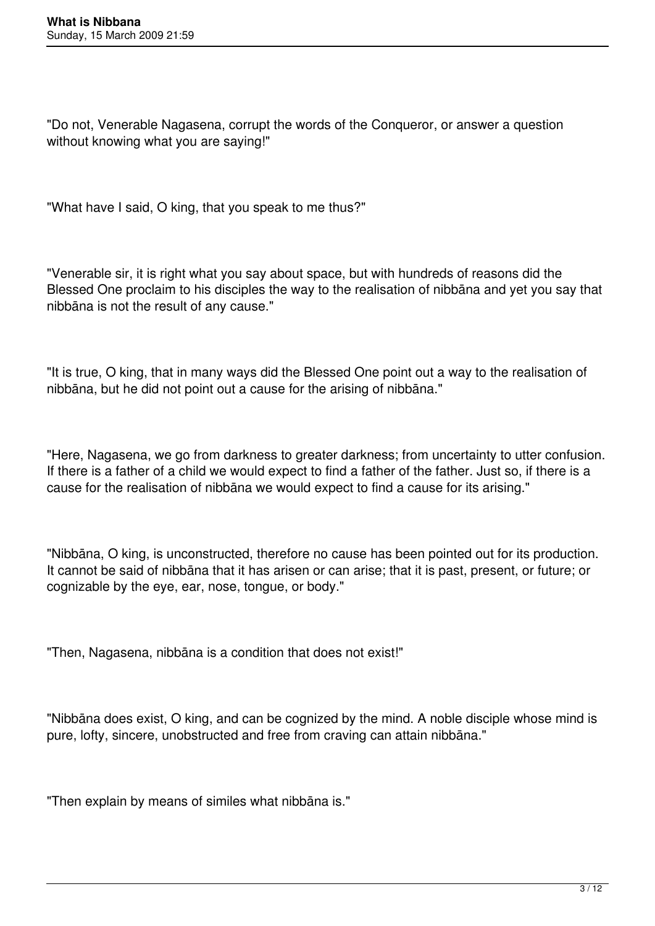"Do not, Venerable Nagasena, corrupt the words of the Conqueror, or answer a question without knowing what you are saying!"

"What have I said, O king, that you speak to me thus?"

"Venerable sir, it is right what you say about space, but with hundreds of reasons did the Blessed One proclaim to his disciples the way to the realisation of nibbāna and yet you say that nibbāna is not the result of any cause."

"It is true, O king, that in many ways did the Blessed One point out a way to the realisation of nibbāna, but he did not point out a cause for the arising of nibbāna."

"Here, Nagasena, we go from darkness to greater darkness; from uncertainty to utter confusion. If there is a father of a child we would expect to find a father of the father. Just so, if there is a cause for the realisation of nibbāna we would expect to find a cause for its arising."

"Nibbāna, O king, is unconstructed, therefore no cause has been pointed out for its production. It cannot be said of nibbāna that it has arisen or can arise; that it is past, present, or future; or cognizable by the eye, ear, nose, tongue, or body."

"Then, Nagasena, nibbāna is a condition that does not exist!"

"Nibbāna does exist, O king, and can be cognized by the mind. A noble disciple whose mind is pure, lofty, sincere, unobstructed and free from craving can attain nibbāna."

"Then explain by means of similes what nibbāna is."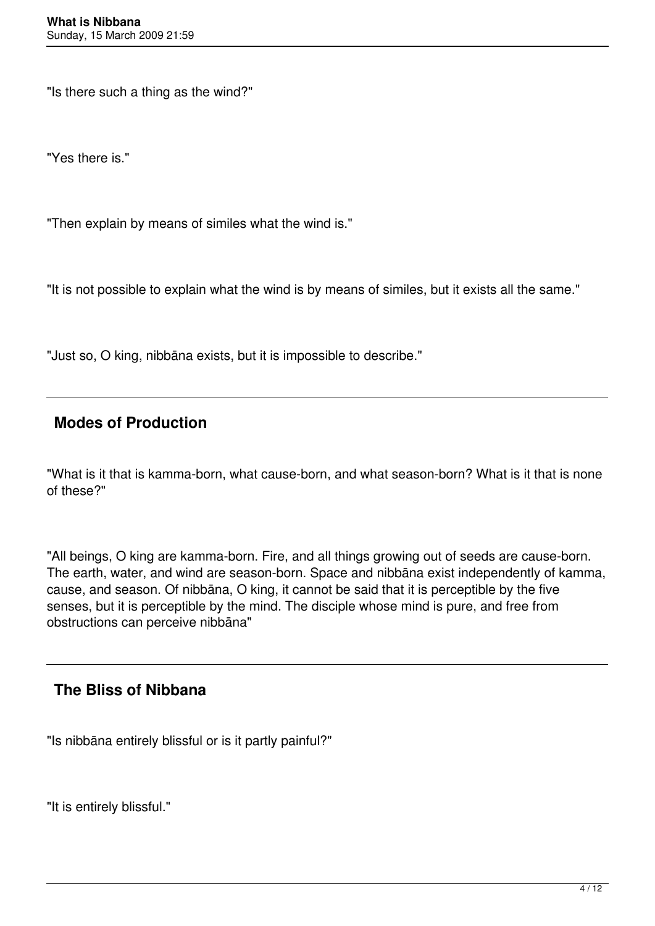"Is there such a thing as the wind?"

"Yes there is."

"Then explain by means of similes what the wind is."

"It is not possible to explain what the wind is by means of similes, but it exists all the same."

"Just so, O king, nibbāna exists, but it is impossible to describe."

## **Modes of Production**

"What is it that is kamma-born, what cause-born, and what season-born? What is it that is none of these?"

"All beings, O king are kamma-born. Fire, and all things growing out of seeds are cause-born. The earth, water, and wind are season-born. Space and nibbāna exist independently of kamma, cause, and season. Of nibbāna, O king, it cannot be said that it is perceptible by the five senses, but it is perceptible by the mind. The disciple whose mind is pure, and free from obstructions can perceive nibbāna"

### **The Bliss of Nibbana**

"Is nibbāna entirely blissful or is it partly painful?"

"It is entirely blissful."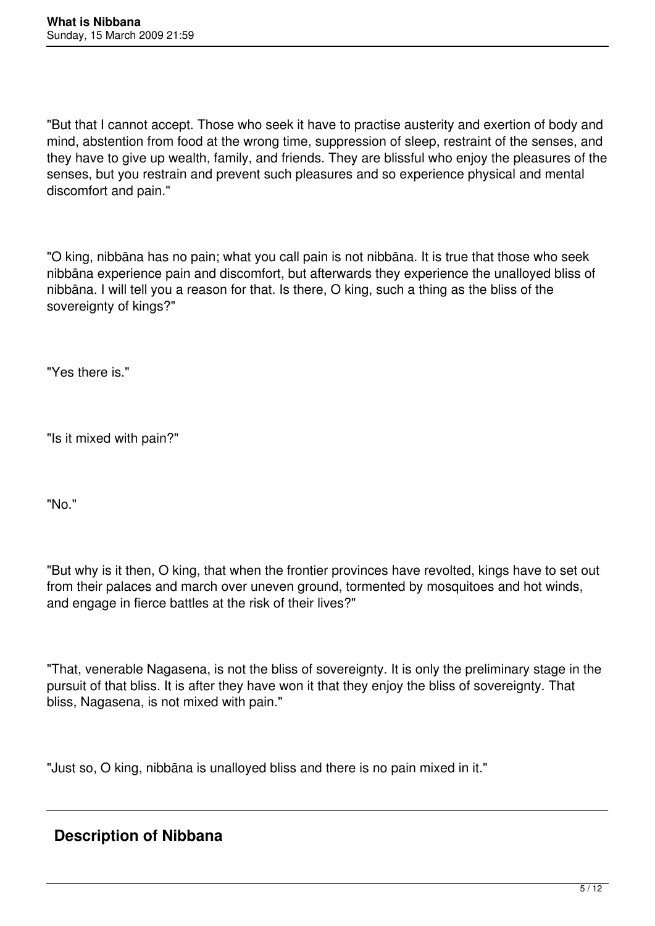"But that I cannot accept. Those who seek it have to practise austerity and exertion of body and mind, abstention from food at the wrong time, suppression of sleep, restraint of the senses, and they have to give up wealth, family, and friends. They are blissful who enjoy the pleasures of the senses, but you restrain and prevent such pleasures and so experience physical and mental discomfort and pain."

"O king, nibbāna has no pain; what you call pain is not nibbāna. It is true that those who seek nibbāna experience pain and discomfort, but afterwards they experience the unalloyed bliss of nibbāna. I will tell you a reason for that. Is there, O king, such a thing as the bliss of the sovereignty of kings?"

"Yes there is."

"Is it mixed with pain?"

"No."

"But why is it then, O king, that when the frontier provinces have revolted, kings have to set out from their palaces and march over uneven ground, tormented by mosquitoes and hot winds, and engage in fierce battles at the risk of their lives?"

"That, venerable Nagasena, is not the bliss of sovereignty. It is only the preliminary stage in the pursuit of that bliss. It is after they have won it that they enjoy the bliss of sovereignty. That bliss, Nagasena, is not mixed with pain."

"Just so, O king, nibbāna is unalloyed bliss and there is no pain mixed in it."

#### **Description of Nibbana**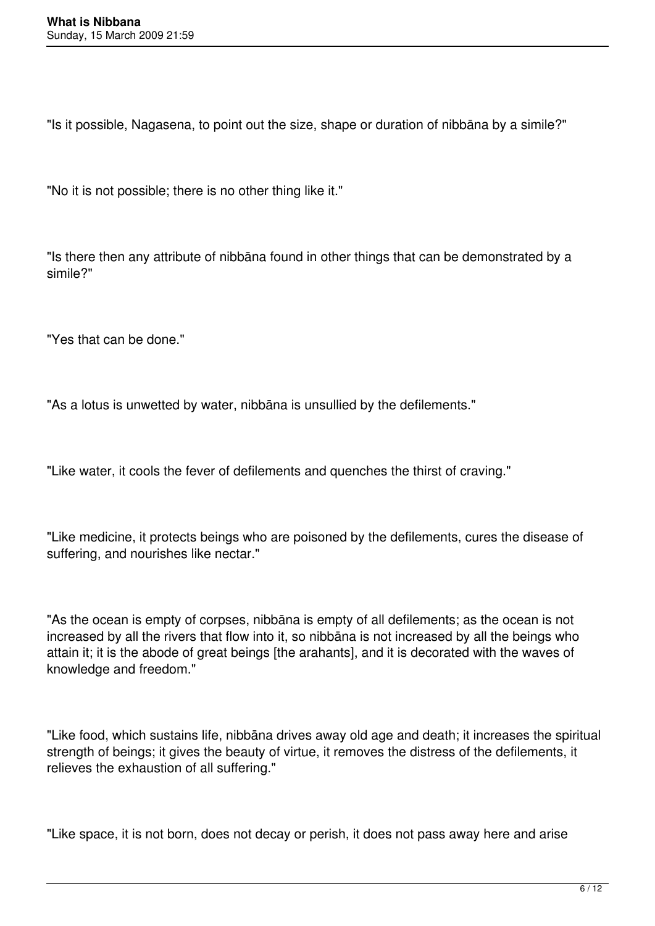"Is it possible, Nagasena, to point out the size, shape or duration of nibbāna by a simile?"

"No it is not possible; there is no other thing like it."

"Is there then any attribute of nibbāna found in other things that can be demonstrated by a simile?"

"Yes that can be done."

"As a lotus is unwetted by water, nibbāna is unsullied by the defilements."

"Like water, it cools the fever of defilements and quenches the thirst of craving."

"Like medicine, it protects beings who are poisoned by the defilements, cures the disease of suffering, and nourishes like nectar."

"As the ocean is empty of corpses, nibbāna is empty of all defilements; as the ocean is not increased by all the rivers that flow into it, so nibbāna is not increased by all the beings who attain it; it is the abode of great beings [the arahants], and it is decorated with the waves of knowledge and freedom."

"Like food, which sustains life, nibbāna drives away old age and death; it increases the spiritual strength of beings; it gives the beauty of virtue, it removes the distress of the defilements, it relieves the exhaustion of all suffering."

"Like space, it is not born, does not decay or perish, it does not pass away here and arise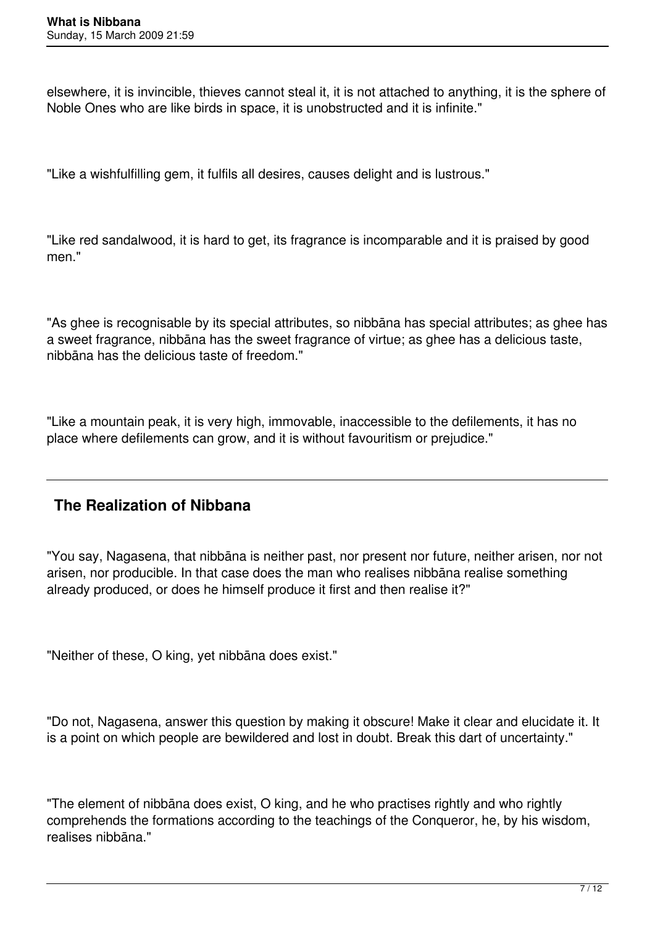elsewhere, it is invincible, thieves cannot steal it, it is not attached to anything, it is the sphere of Noble Ones who are like birds in space, it is unobstructed and it is infinite."

"Like a wishfulfilling gem, it fulfils all desires, causes delight and is lustrous."

"Like red sandalwood, it is hard to get, its fragrance is incomparable and it is praised by good men."

"As ghee is recognisable by its special attributes, so nibbāna has special attributes; as ghee has a sweet fragrance, nibbāna has the sweet fragrance of virtue; as ghee has a delicious taste, nibbāna has the delicious taste of freedom."

"Like a mountain peak, it is very high, immovable, inaccessible to the defilements, it has no place where defilements can grow, and it is without favouritism or prejudice."

### **The Realization of Nibbana**

"You say, Nagasena, that nibbāna is neither past, nor present nor future, neither arisen, nor not arisen, nor producible. In that case does the man who realises nibbāna realise something already produced, or does he himself produce it first and then realise it?"

"Neither of these, O king, yet nibbāna does exist."

"Do not, Nagasena, answer this question by making it obscure! Make it clear and elucidate it. It is a point on which people are bewildered and lost in doubt. Break this dart of uncertainty."

"The element of nibbāna does exist, O king, and he who practises rightly and who rightly comprehends the formations according to the teachings of the Conqueror, he, by his wisdom, realises nibbāna."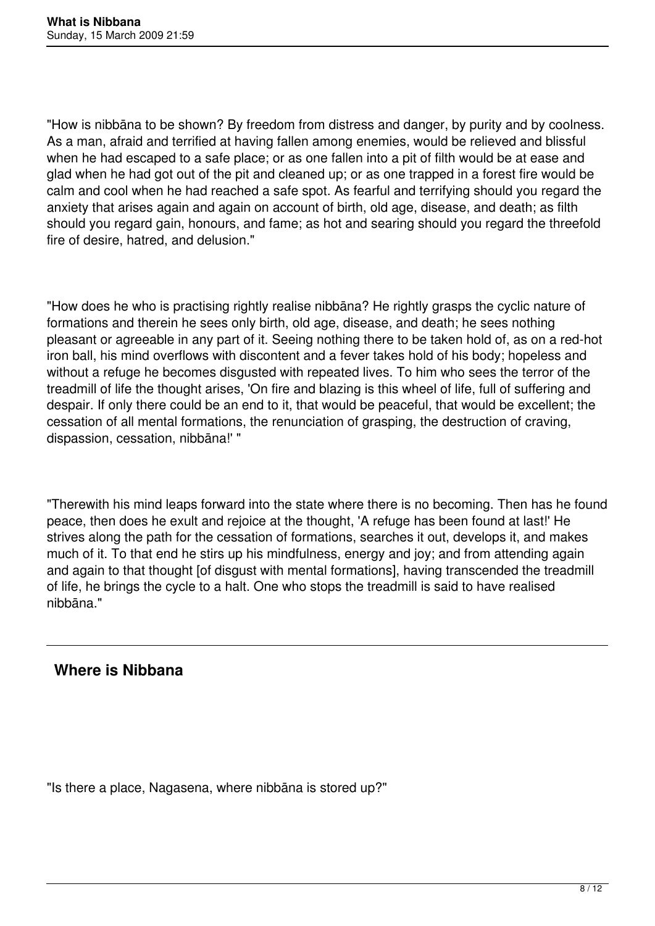"How is nibbāna to be shown? By freedom from distress and danger, by purity and by coolness. As a man, afraid and terrified at having fallen among enemies, would be relieved and blissful when he had escaped to a safe place; or as one fallen into a pit of filth would be at ease and glad when he had got out of the pit and cleaned up; or as one trapped in a forest fire would be calm and cool when he had reached a safe spot. As fearful and terrifying should you regard the anxiety that arises again and again on account of birth, old age, disease, and death; as filth should you regard gain, honours, and fame; as hot and searing should you regard the threefold fire of desire, hatred, and delusion."

"How does he who is practising rightly realise nibbāna? He rightly grasps the cyclic nature of formations and therein he sees only birth, old age, disease, and death; he sees nothing pleasant or agreeable in any part of it. Seeing nothing there to be taken hold of, as on a red-hot iron ball, his mind overflows with discontent and a fever takes hold of his body; hopeless and without a refuge he becomes disgusted with repeated lives. To him who sees the terror of the treadmill of life the thought arises, 'On fire and blazing is this wheel of life, full of suffering and despair. If only there could be an end to it, that would be peaceful, that would be excellent; the cessation of all mental formations, the renunciation of grasping, the destruction of craving, dispassion, cessation, nibbāna!' "

"Therewith his mind leaps forward into the state where there is no becoming. Then has he found peace, then does he exult and rejoice at the thought, 'A refuge has been found at last!' He strives along the path for the cessation of formations, searches it out, develops it, and makes much of it. To that end he stirs up his mindfulness, energy and joy; and from attending again and again to that thought [of disgust with mental formations], having transcended the treadmill of life, he brings the cycle to a halt. One who stops the treadmill is said to have realised nibbāna."

### **Where is Nibbana**

"Is there a place, Nagasena, where nibbāna is stored up?"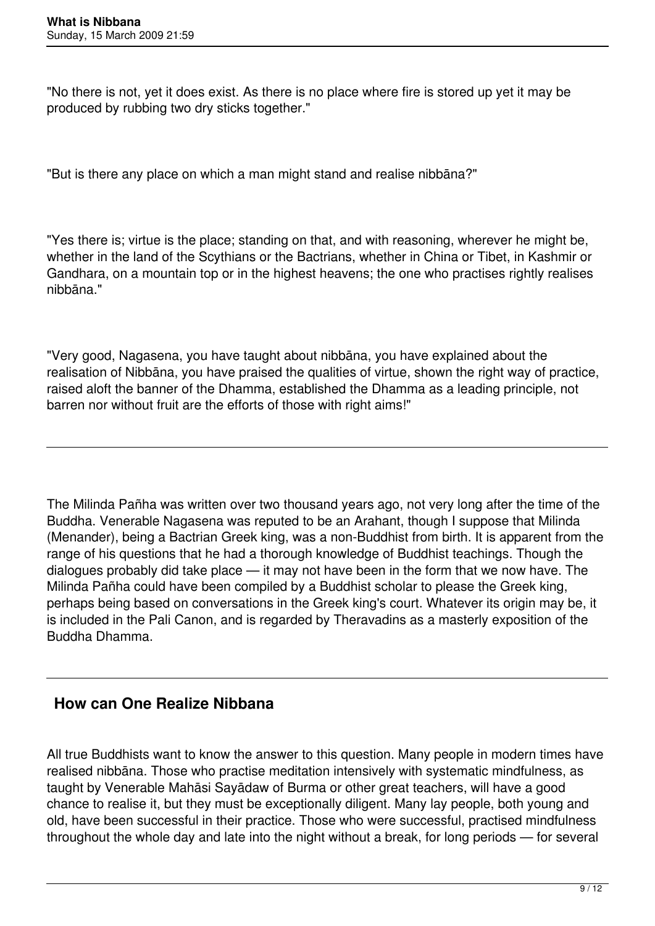"No there is not, yet it does exist. As there is no place where fire is stored up yet it may be produced by rubbing two dry sticks together."

"But is there any place on which a man might stand and realise nibbāna?"

"Yes there is; virtue is the place; standing on that, and with reasoning, wherever he might be, whether in the land of the Scythians or the Bactrians, whether in China or Tibet, in Kashmir or Gandhara, on a mountain top or in the highest heavens; the one who practises rightly realises nibbāna."

"Very good, Nagasena, you have taught about nibbāna, you have explained about the realisation of Nibbāna, you have praised the qualities of virtue, shown the right way of practice, raised aloft the banner of the Dhamma, established the Dhamma as a leading principle, not barren nor without fruit are the efforts of those with right aims!"

The Milinda Pañha was written over two thousand years ago, not very long after the time of the Buddha. Venerable Nagasena was reputed to be an Arahant, though I suppose that Milinda (Menander), being a Bactrian Greek king, was a non-Buddhist from birth. It is apparent from the range of his questions that he had a thorough knowledge of Buddhist teachings. Though the dialogues probably did take place — it may not have been in the form that we now have. The Milinda Pañha could have been compiled by a Buddhist scholar to please the Greek king, perhaps being based on conversations in the Greek king's court. Whatever its origin may be, it is included in the Pali Canon, and is regarded by Theravadins as a masterly exposition of the Buddha Dhamma.

## **How can One Realize Nibbana**

All true Buddhists want to know the answer to this question. Many people in modern times have realised nibbāna. Those who practise meditation intensively with systematic mindfulness, as taught by Venerable Mahāsi Sayādaw of Burma or other great teachers, will have a good chance to realise it, but they must be exceptionally diligent. Many lay people, both young and old, have been successful in their practice. Those who were successful, practised mindfulness throughout the whole day and late into the night without a break, for long periods — for several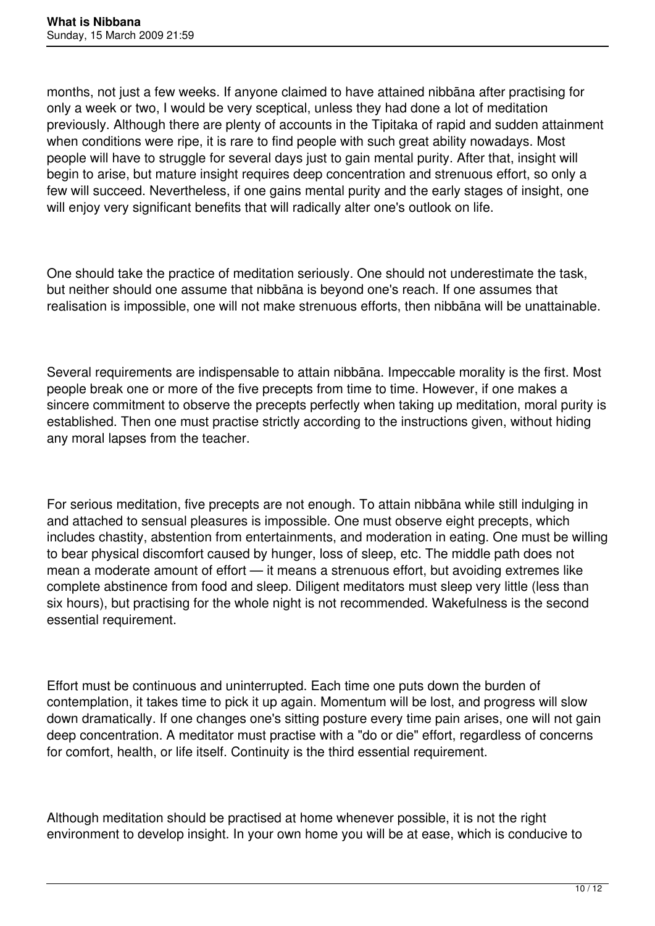months, not just a few weeks. If anyone claimed to have attained nibbāna after practising for only a week or two, I would be very sceptical, unless they had done a lot of meditation previously. Although there are plenty of accounts in the Tipitaka of rapid and sudden attainment when conditions were ripe, it is rare to find people with such great ability nowadays. Most people will have to struggle for several days just to gain mental purity. After that, insight will begin to arise, but mature insight requires deep concentration and strenuous effort, so only a few will succeed. Nevertheless, if one gains mental purity and the early stages of insight, one will enjoy very significant benefits that will radically alter one's outlook on life.

One should take the practice of meditation seriously. One should not underestimate the task, but neither should one assume that nibbāna is beyond one's reach. If one assumes that realisation is impossible, one will not make strenuous efforts, then nibbāna will be unattainable.

Several requirements are indispensable to attain nibbāna. Impeccable morality is the first. Most people break one or more of the five precepts from time to time. However, if one makes a sincere commitment to observe the precepts perfectly when taking up meditation, moral purity is established. Then one must practise strictly according to the instructions given, without hiding any moral lapses from the teacher.

For serious meditation, five precepts are not enough. To attain nibbāna while still indulging in and attached to sensual pleasures is impossible. One must observe eight precepts, which includes chastity, abstention from entertainments, and moderation in eating. One must be willing to bear physical discomfort caused by hunger, loss of sleep, etc. The middle path does not mean a moderate amount of effort — it means a strenuous effort, but avoiding extremes like complete abstinence from food and sleep. Diligent meditators must sleep very little (less than six hours), but practising for the whole night is not recommended. Wakefulness is the second essential requirement.

Effort must be continuous and uninterrupted. Each time one puts down the burden of contemplation, it takes time to pick it up again. Momentum will be lost, and progress will slow down dramatically. If one changes one's sitting posture every time pain arises, one will not gain deep concentration. A meditator must practise with a "do or die" effort, regardless of concerns for comfort, health, or life itself. Continuity is the third essential requirement.

Although meditation should be practised at home whenever possible, it is not the right environment to develop insight. In your own home you will be at ease, which is conducive to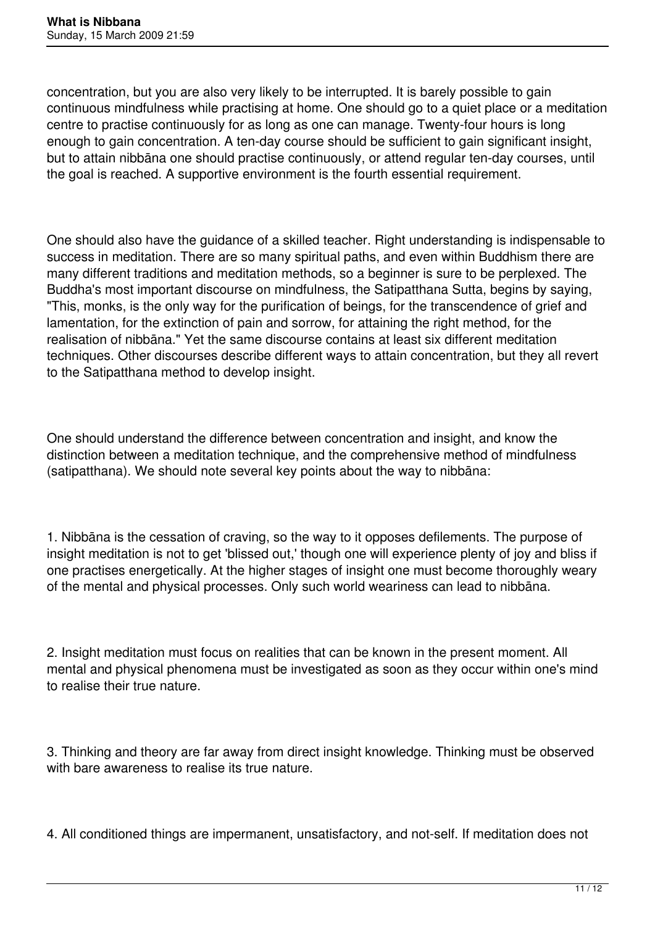concentration, but you are also very likely to be interrupted. It is barely possible to gain continuous mindfulness while practising at home. One should go to a quiet place or a meditation centre to practise continuously for as long as one can manage. Twenty-four hours is long enough to gain concentration. A ten-day course should be sufficient to gain significant insight, but to attain nibbāna one should practise continuously, or attend regular ten-day courses, until the goal is reached. A supportive environment is the fourth essential requirement.

One should also have the guidance of a skilled teacher. Right understanding is indispensable to success in meditation. There are so many spiritual paths, and even within Buddhism there are many different traditions and meditation methods, so a beginner is sure to be perplexed. The Buddha's most important discourse on mindfulness, the Satipatthana Sutta, begins by saying, "This, monks, is the only way for the purification of beings, for the transcendence of grief and lamentation, for the extinction of pain and sorrow, for attaining the right method, for the realisation of nibbāna." Yet the same discourse contains at least six different meditation techniques. Other discourses describe different ways to attain concentration, but they all revert to the Satipatthana method to develop insight.

One should understand the difference between concentration and insight, and know the distinction between a meditation technique, and the comprehensive method of mindfulness (satipatthana). We should note several key points about the way to nibbāna:

1. Nibbāna is the cessation of craving, so the way to it opposes defilements. The purpose of insight meditation is not to get 'blissed out,' though one will experience plenty of joy and bliss if one practises energetically. At the higher stages of insight one must become thoroughly weary of the mental and physical processes. Only such world weariness can lead to nibbāna.

2. Insight meditation must focus on realities that can be known in the present moment. All mental and physical phenomena must be investigated as soon as they occur within one's mind to realise their true nature.

3. Thinking and theory are far away from direct insight knowledge. Thinking must be observed with bare awareness to realise its true nature.

4. All conditioned things are impermanent, unsatisfactory, and not-self. If meditation does not